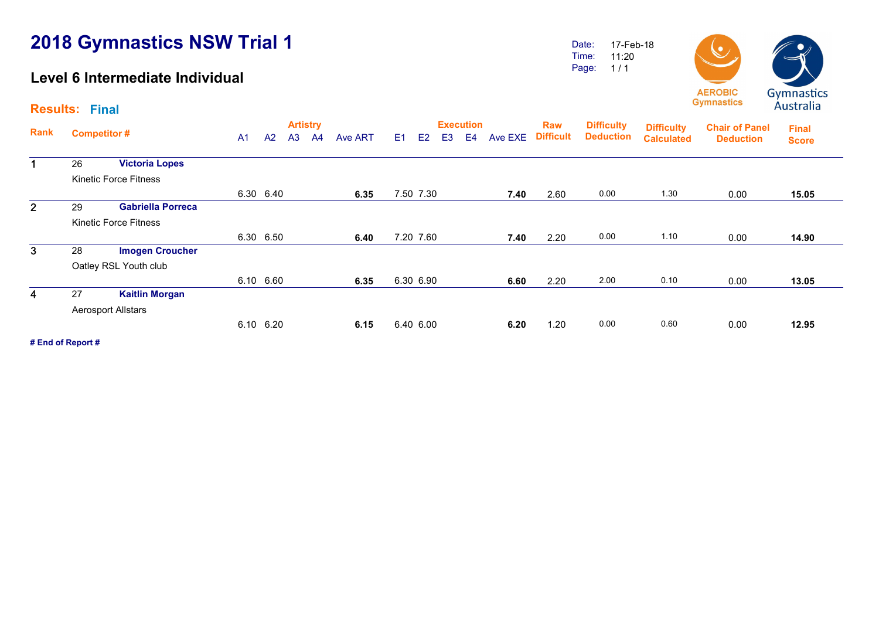## 2018 Gymnastics NSW Trial 1

## Level 6 Intermediate Individual

Date: Time: Page: 17-Feb-18 11:20  $1/1$ 



Artistry Execution Rank Raw Competitor # The Competitor # And Annual A1 A2 A3 A4 Ave ART E1 E2 E3 E4 Ave EXE Difficult Deduction Calculated Chair of Panel **Deduction** Results: Final Final **Score Difficulty** Deduction **Difficulty**<br>**Calculated** 1 26 Victoria Lopes Kinetic Force Fitness 6.30 6.40 6.35 7.50 7.30 7.40 2.60 0.00 1.30 0.00 15.05 2 29 Gabriella Porreca Kinetic Force Fitness 6.30 6.50 6.40 7.20 7.60 7.40 2.20 0.00 1.10 0.00 14.90 3 28 Imogen Croucher Oatley RSL Youth club  $6.10$   $6.60$   $6.35$   $6.30$   $6.90$   $6.60$   $2.20$   $2.00$   $0.10$   $0.00$   $13.05$ 4 27 Kaitlin Morgan Aerosport Allstars  $6.10$   $6.20$   $6.15$   $6.40$   $6.00$   $6.20$   $1.20$   $0.00$   $0.60$   $0.00$   $12.95$ 

# End of Report #